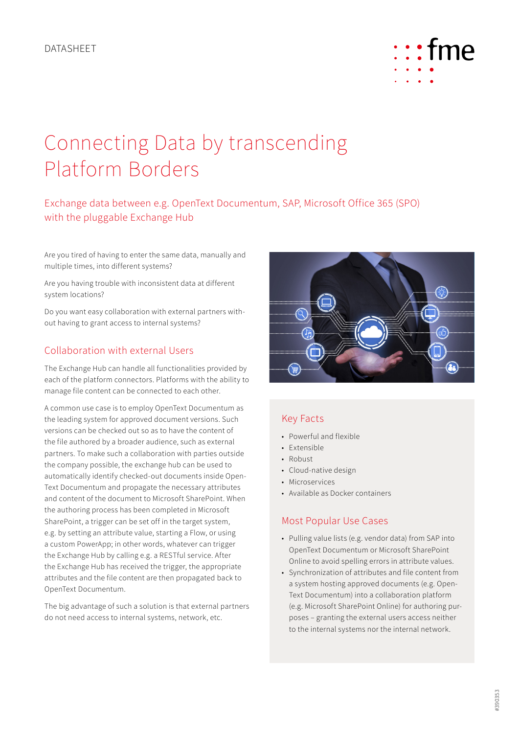

# Connecting Data by transcending Platform Borders

# Exchange data between e.g. OpenText Documentum, SAP, Microsoft Office 365 (SPO) with the pluggable Exchange Hub

Are you tired of having to enter the same data, manually and multiple times, into different systems?

Are you having trouble with inconsistent data at different system locations?

Do you want easy collaboration with external partners without having to grant access to internal systems?

## Collaboration with external Users

The Exchange Hub can handle all functionalities provided by each of the platform connectors. Platforms with the ability to manage file content can be connected to each other.

A common use case is to employ OpenText Documentum as the leading system for approved document versions. Such versions can be checked out so as to have the content of the file authored by a broader audience, such as external partners. To make such a collaboration with parties outside the company possible, the exchange hub can be used to automatically identify checked-out documents inside Open-Text Documentum and propagate the necessary attributes and content of the document to Microsoft SharePoint. When the authoring process has been completed in Microsoft SharePoint, a trigger can be set off in the target system, e.g. by setting an attribute value, starting a Flow, or using a custom PowerApp; in other words, whatever can trigger the Exchange Hub by calling e.g. a RESTful service. After the Exchange Hub has received the trigger, the appropriate attributes and the file content are then propagated back to OpenText Documentum.

The big advantage of such a solution is that external partners do not need access to internal systems, network, etc.



# Key Facts

- Powerful and flexible
- Extensible
- Robust
- Cloud-native design
- Microservices
- Available as Docker containers

## Most Popular Use Cases

- Pulling value lists (e.g. vendor data) from SAP into OpenText Documentum or Microsoft SharePoint Online to avoid spelling errors in attribute values.
- Synchronization of attributes and file content from a system hosting approved documents (e.g. Open-Text Documentum) into a collaboration platform (e.g. Microsoft SharePoint Online) for authoring purposes – granting the external users access neither to the internal systems nor the internal network.